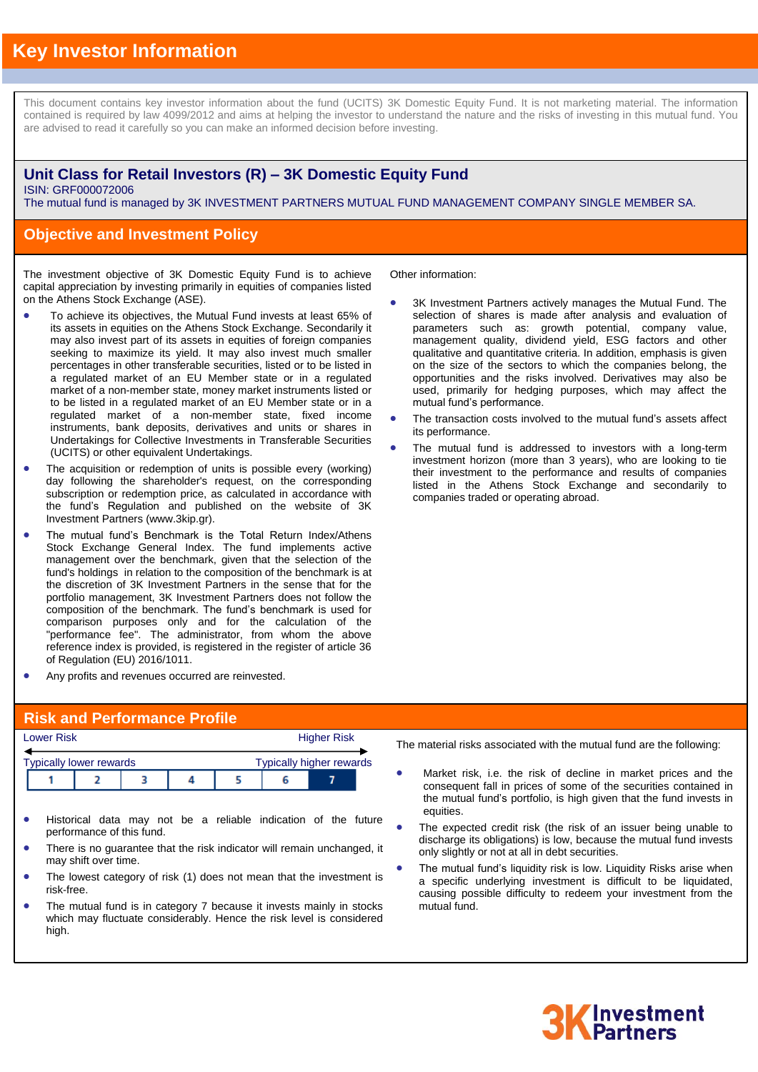# **Key Investor Information**

This document contains key investor information about the fund (UCITS) 3K Domestic Equity Fund. It is not marketing material. The information contained is required by law 4099/2012 and aims at helping the investor to understand the nature and the risks of investing in this mutual fund. You are advised to read it carefully so you can make an informed decision before investing.

### **Unit Class for Retail Investors (R) – 3K Domestic Equity Fund** ISIN: GRF000072006

The mutual fund is managed by 3K INVESTMENT PARTNERS MUTUAL FUND MANAGEMENT COMPANY SINGLE MEMBER SA.

### **Objective and Investment Policy**

The investment objective of 3K Domestic Equity Fund is to achieve capital appreciation by investing primarily in equities of companies listed on the Athens Stock Exchange (ASE).

- To achieve its objectives, the Mutual Fund invests at least 65% of its assets in equities on the Athens Stock Exchange. Secondarily it may also invest part of its assets in equities of foreign companies seeking to maximize its yield. It may also invest much smaller percentages in other transferable securities, listed or to be listed in a regulated market of an EU Member state or in a regulated market of a non-member state, money market instruments listed or to be listed in a regulated market of an EU Member state or in a regulated market of a non-member state, fixed income instruments, bank deposits, derivatives and units or shares in Undertakings for Collective Investments in Transferable Securities (UCITS) or other equivalent Undertakings.
- The acquisition or redemption of units is possible every (working) day following the shareholder's request, on the corresponding subscription or redemption price, as calculated in accordance with the fund's Regulation and published on the website of 3K Investment Partners (www.3kip.gr).
- The mutual fund's Benchmark is the Total Return Index/Athens Stock Exchange General Index. The fund implements active management over the benchmark, given that the selection of the fund's holdings in relation to the composition of the benchmark is at the discretion of 3K Investment Partners in the sense that for the portfolio management, 3K Investment Partners does not follow the composition of the benchmark. The fund's benchmark is used for comparison purposes only and for the calculation of the "performance fee". The administrator, from whom the above reference index is provided, is registered in the register of article 36 of Regulation (EU) 2016/1011.
- Any profits and revenues occurred are reinvested.

Other information:

- 3K Investment Partners actively manages the Mutual Fund. The selection of shares is made after analysis and evaluation of parameters such as: growth potential, company value, management quality, dividend yield, ESG factors and other qualitative and quantitative criteria. In addition, emphasis is given on the size of the sectors to which the companies belong, the opportunities and the risks involved. Derivatives may also be used, primarily for hedging purposes, which may affect the mutual fund's performance.
- The transaction costs involved to the mutual fund's assets affect its performance.
- The mutual fund is addressed to investors with a long-term investment horizon (more than 3 years), who are looking to tie their investment to the performance and results of companies listed in the Athens Stock Exchange and secondarily to companies traded or operating abroad.

#### **Risk and Performance Profile**

|                                                                   | <b>Lower Risk</b> |  |  |  |  | <b>Higher Risk</b> |  |  |
|-------------------------------------------------------------------|-------------------|--|--|--|--|--------------------|--|--|
| <b>Typically higher rewards</b><br><b>Typically lower rewards</b> |                   |  |  |  |  |                    |  |  |
|                                                                   |                   |  |  |  |  |                    |  |  |

- Historical data may not be a reliable indication of the future performance of this fund.
- There is no guarantee that the risk indicator will remain unchanged, it may shift over time.
- The lowest category of risk (1) does not mean that the investment is risk-free.
- The mutual fund is in category 7 because it invests mainly in stocks which may fluctuate considerably. Hence the risk level is considered high.

The material risks associated with the mutual fund are the following:

- Market risk, i.e. the risk of decline in market prices and the consequent fall in prices of some of the securities contained in the mutual fund's portfolio, is high given that the fund invests in equities.
- The expected credit risk (the risk of an issuer being unable to discharge its obligations) is low, because the mutual fund invests only slightly or not at all in debt securities.
- The mutual fund's liquidity risk is low. Liquidity Risks arise when a specific underlying investment is difficult to be liquidated, causing possible difficulty to redeem your investment from the mutual fund.